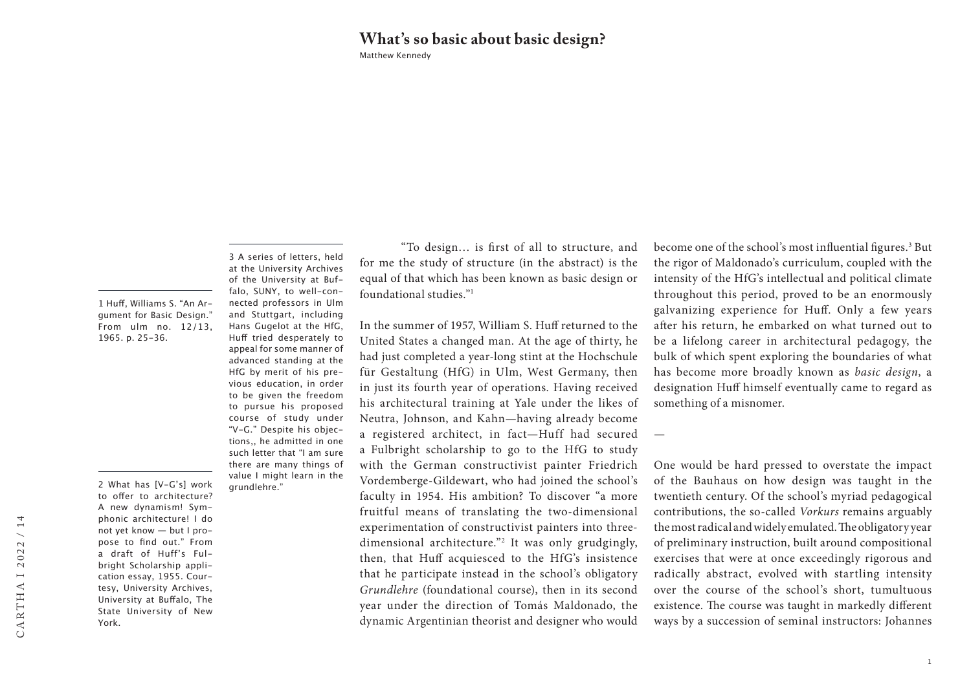## Matthew Kennedy **What's so basic about basic design?**

1 Huff, Williams S. "An Argument for Basic Design." From ulm no. 12/13, 1965. p. 25-36.

2 What has [V-G's] work to offer to architecture? A new dynamism! Symphonic architecture! I do not yet know — but I propose to find out." From a draft of Huff's Fulbright Scholarship application essay, 1955. Courtesy, University Archives, University at Buffalo, The State University of New

York.

3 A series of letters, held at the University Archives of the University at Buffalo, SUNY, to well-connected professors in Ulm and Stuttgart, including Hans Gugelot at the HfG, Huff tried desperately to appeal for some manner of advanced standing at the HfG by merit of his previous education, in order to be given the freedom to pursue his proposed course of study under "V-G." Despite his objections,, he admitted in one such letter that "I am sure there are many things of value I might learn in the grundlehre."

"To design… is first of all to structure, and for me the study of structure (in the abstract) is the equal of that which has been known as basic design or foundational studies."1

In the summer of 1957, William S. Huff returned to the United States a changed man. At the age of thirty, he had just completed a year-long stint at the Hochschule für Gestaltung (HfG) in Ulm, West Germany, then in just its fourth year of operations. Having received his architectural training at Yale under the likes of Neutra, Johnson, and Kahn—having already become a registered architect, in fact—Huff had secured a Fulbright scholarship to go to the HfG to study with the German constructivist painter Friedrich Vordemberge-Gildewart, who had joined the school's faculty in 1954. His ambition? To discover "a more fruitful means of translating the two-dimensional experimentation of constructivist painters into threedimensional architecture."2 It was only grudgingly, then, that Huff acquiesced to the HfG's insistence that he participate instead in the school's obligatory *Grundlehre* (foundational course), then in its second year under the direction of Tomás Maldonado, the dynamic Argentinian theorist and designer who would

become one of the school's most influential figures.<sup>3</sup> But the rigor of Maldonado's curriculum, coupled with the intensity of the HfG's intellectual and political climate throughout this period, proved to be an enormously galvanizing experience for Huff. Only a few years after his return, he embarked on what turned out to be a lifelong career in architectural pedagogy, the bulk of which spent exploring the boundaries of what has become more broadly known as *basic design*, a designation Huff himself eventually came to regard as something of a misnomer.

One would be hard pressed to overstate the impact of the Bauhaus on how design was taught in the twentieth century. Of the school's myriad pedagogical contributions, the so-called *Vorkurs* remains arguably the most radical and widely emulated. The obligatory year of preliminary instruction, built around compositional exercises that were at once exceedingly rigorous and radically abstract, evolved with startling intensity over the course of the school's short, tumultuous existence. The course was taught in markedly different ways by a succession of seminal instructors: Johannes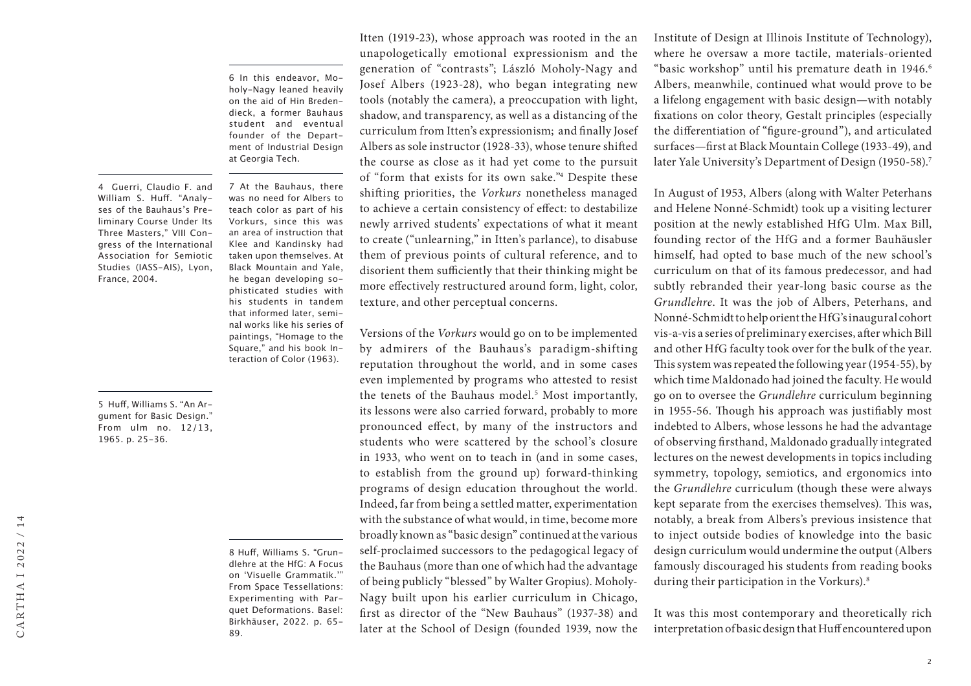6 In this endeavor, Moholy-Nagy leaned heavily on the aid of Hin Bredendieck, a former Bauhaus student and eventual founder of the Department of Industrial Design at Georgia Tech.

7 At the Bauhaus, there was no need for Albers to teach color as part of his Vorkurs, since this was an area of instruction that Klee and Kandinsky had taken upon themselves. At Black Mountain and Yale, he began developing sophisticated studies with his students in tandem that informed later, seminal works like his series of paintings, "Homage to the Square," and his book Interaction of Color (1963).

4 Guerri, Claudio F. and William S. Huff. "Analyses of the Bauhaus's Preliminary Course Under Its Three Masters," VIII Congress of the International Association for Semiotic Studies (IASS-AIS), Lyon, France, 2004.

5 Huff, Williams S. "An Argument for Basic Design." From ulm no. 12/13, 1965. p. 25-36.

> 8 Huff, Williams S. "Grundlehre at the HfG: A Focus on 'Visuelle Grammatik.'" From Space Tessellations: Experimenting with Parquet Deformations. Basel: Birkhäuser, 2022. p. 65- 89.

Itten (1919-23), whose approach was rooted in the an unapologetically emotional expressionism and the generation of "contrasts"; László Moholy-Nagy and Josef Albers (1923-28), who began integrating new tools (notably the camera), a preoccupation with light, shadow, and transparency, as well as a distancing of the curriculum from Itten's expressionism; and finally Josef Albers as sole instructor (1928-33), whose tenure shifted the course as close as it had yet come to the pursuit of "form that exists for its own sake."4 Despite these shifting priorities, the *Vorkurs* nonetheless managed to achieve a certain consistency of effect: to destabilize newly arrived students' expectations of what it meant to create ("unlearning," in Itten's parlance), to disabuse them of previous points of cultural reference, and to disorient them sufficiently that their thinking might be more effectively restructured around form, light, color, texture, and other perceptual concerns.

Versions of the *Vorkurs* would go on to be implemented by admirers of the Bauhaus's paradigm-shifting reputation throughout the world, and in some cases even implemented by programs who attested to resist the tenets of the Bauhaus model.<sup>5</sup> Most importantly, its lessons were also carried forward, probably to more pronounced effect, by many of the instructors and students who were scattered by the school's closure in 1933, who went on to teach in (and in some cases, to establish from the ground up) forward-thinking programs of design education throughout the world. Indeed, far from being a settled matter, experimentation with the substance of what would, in time, become more broadly known as "basic design" continued at the various self-proclaimed successors to the pedagogical legacy of the Bauhaus (more than one of which had the advantage of being publicly "blessed" by Walter Gropius). Moholy-Nagy built upon his earlier curriculum in Chicago, first as director of the "New Bauhaus" (1937-38) and later at the School of Design (founded 1939, now the

Institute of Design at Illinois Institute of Technology), where he oversaw a more tactile, materials-oriented "basic workshop" until his premature death in 1946.<sup>6</sup> Albers, meanwhile, continued what would prove to be a lifelong engagement with basic design—with notably fixations on color theory, Gestalt principles (especially the differentiation of "figure-ground"), and articulated surfaces—first at Black Mountain College (1933-49), and later Yale University's Department of Design (1950-58).<sup>7</sup>

In August of 1953, Albers (along with Walter Peterhans and Helene Nonné-Schmidt) took up a visiting lecturer position at the newly established HfG Ulm. Max Bill, founding rector of the HfG and a former Bauhäusler himself, had opted to base much of the new school's curriculum on that of its famous predecessor, and had subtly rebranded their year-long basic course as the *Grundlehre*. It was the job of Albers, Peterhans, and Nonné-Schmidt to help orient the HfG's inaugural cohort vis-a-vis a series of preliminary exercises, after which Bill and other HfG faculty took over for the bulk of the year. This system was repeated the following year (1954-55), by which time Maldonado had joined the faculty. He would go on to oversee the *Grundlehre* curriculum beginning in 1955-56. Though his approach was justifiably most indebted to Albers, whose lessons he had the advantage of observing firsthand, Maldonado gradually integrated lectures on the newest developments in topics including symmetry, topology, semiotics, and ergonomics into the *Grundlehre* curriculum (though these were always kept separate from the exercises themselves). This was, notably, a break from Albers's previous insistence that to inject outside bodies of knowledge into the basic design curriculum would undermine the output (Albers famously discouraged his students from reading books during their participation in the Vorkurs).<sup>8</sup>

It was this most contemporary and theoretically rich interpretation of basic design that Huff encountered upon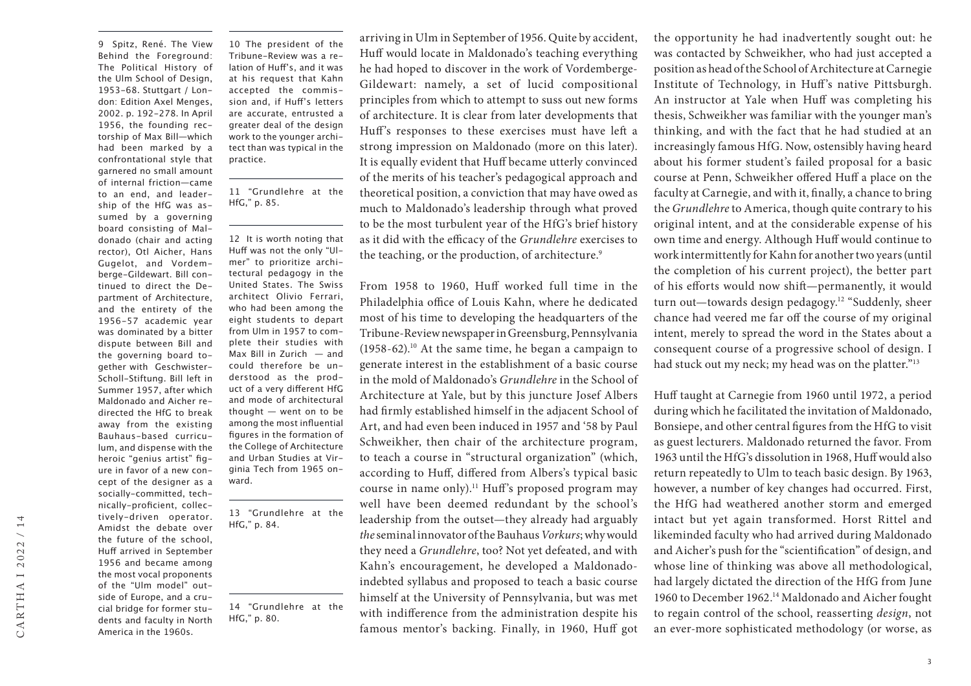9 Spitz, René. The View Behind the Foreground: The Political History of the Ulm School of Design, 1953-68. Stuttgart / London: Edition Axel Menges, 2002. p. 192-278. In April 1956, the founding rectorship of Max Bill—which had been marked by a confrontational style that garnered no small amount of internal friction—came to an end, and leadership of the HfG was assumed by a governing board consisting of Maldonado (chair and acting rector), Otl Aicher, Hans Gugelot, and Vordemberge-Gildewart. Bill continued to direct the Department of Architecture, and the entirety of the 1956-57 academic year was dominated by a bitter dispute between Bill and the governing board together with Geschwister-Scholl-Stiftung. Bill left in Summer 1957, after which Maldonado and Aicher redirected the HfG to break away from the existing Bauhaus-based curriculum, and dispense with the heroic "genius artist" figure in favor of a new concept of the designer as a socially-committed, technically-proficient, collectively-driven operator. Amidst the debate over the future of the school, Huff arrived in September 1956 and became among the most vocal proponents of the "Ulm model" outside of Europe, and a crucial bridge for former students and faculty in North America in the 1960s.

10 The president of the Tribune-Review was a relation of Huff's, and it was at his request that Kahn accepted the commission and, if Huff's letters are accurate, entrusted a greater deal of the design work to the younger architect than was typical in the practice.

11 "Grundlehre at the HfG," p. 85.

12 It is worth noting that Huff was not the only "Ulmer" to prioritize architectural pedagogy in the United States. The Swiss architect Olivio Ferrari, who had been among the eight students to depart from Ulm in 1957 to complete their studies with Max Bill in Zurich — and could therefore be understood as the product of a very different HfG and mode of architectural thought — went on to be among the most influential figures in the formation of the College of Architecture and Urban Studies at Virginia Tech from 1965 onward.

13 "Grundlehre at the HfG," p. 84.

14 "Grundlehre at the HfG," p. 80.

arriving in Ulm in September of 1956. Quite by accident, Huff would locate in Maldonado's teaching everything he had hoped to discover in the work of Vordemberge-Gildewart: namely, a set of lucid compositional principles from which to attempt to suss out new forms of architecture. It is clear from later developments that Huff's responses to these exercises must have left a strong impression on Maldonado (more on this later). It is equally evident that Huff became utterly convinced of the merits of his teacher's pedagogical approach and theoretical position, a conviction that may have owed as much to Maldonado's leadership through what proved to be the most turbulent year of the HfG's brief history as it did with the efficacy of the *Grundlehre* exercises to the teaching, or the production, of architecture.9

From 1958 to 1960, Huff worked full time in the Philadelphia office of Louis Kahn, where he dedicated most of his time to developing the headquarters of the Tribune-Review newspaper in Greensburg, Pennsylvania (1958-62).10 At the same time, he began a campaign to generate interest in the establishment of a basic course in the mold of Maldonado's *Grundlehre* in the School of Architecture at Yale, but by this juncture Josef Albers had firmly established himself in the adjacent School of Art, and had even been induced in 1957 and '58 by Paul Schweikher, then chair of the architecture program, to teach a course in "structural organization" (which, according to Huff, differed from Albers's typical basic course in name only).11 Huff's proposed program may well have been deemed redundant by the school's leadership from the outset—they already had arguably *the* seminal innovator of the Bauhaus *Vorkurs*; why would they need a *Grundlehre*, too? Not yet defeated, and with Kahn's encouragement, he developed a Maldonadoindebted syllabus and proposed to teach a basic course himself at the University of Pennsylvania, but was met with indifference from the administration despite his famous mentor's backing. Finally, in 1960, Huff got

the opportunity he had inadvertently sought out: he was contacted by Schweikher, who had just accepted a position as head of the School of Architecture at Carnegie Institute of Technology, in Huff's native Pittsburgh. An instructor at Yale when Huff was completing his thesis, Schweikher was familiar with the younger man's thinking, and with the fact that he had studied at an increasingly famous HfG. Now, ostensibly having heard about his former student's failed proposal for a basic course at Penn, Schweikher offered Huff a place on the faculty at Carnegie, and with it, finally, a chance to bring the *Grundlehre* to America, though quite contrary to his original intent, and at the considerable expense of his own time and energy. Although Huff would continue to work intermittently for Kahn for another two years (until the completion of his current project), the better part of his efforts would now shift—permanently, it would turn out—towards design pedagogy.12 "Suddenly, sheer chance had veered me far off the course of my original intent, merely to spread the word in the States about a consequent course of a progressive school of design. I had stuck out my neck; my head was on the platter."<sup>13</sup>

Huff taught at Carnegie from 1960 until 1972, a period during which he facilitated the invitation of Maldonado, Bonsiepe, and other central figures from the HfG to visit as guest lecturers. Maldonado returned the favor. From 1963 until the HfG's dissolution in 1968, Huff would also return repeatedly to Ulm to teach basic design. By 1963, however, a number of key changes had occurred. First, the HfG had weathered another storm and emerged intact but yet again transformed. Horst Rittel and likeminded faculty who had arrived during Maldonado and Aicher's push for the "scientification" of design, and whose line of thinking was above all methodological, had largely dictated the direction of the HfG from June 1960 to December 1962.14 Maldonado and Aicher fought to regain control of the school, reasserting *design*, not an ever-more sophisticated methodology (or worse, as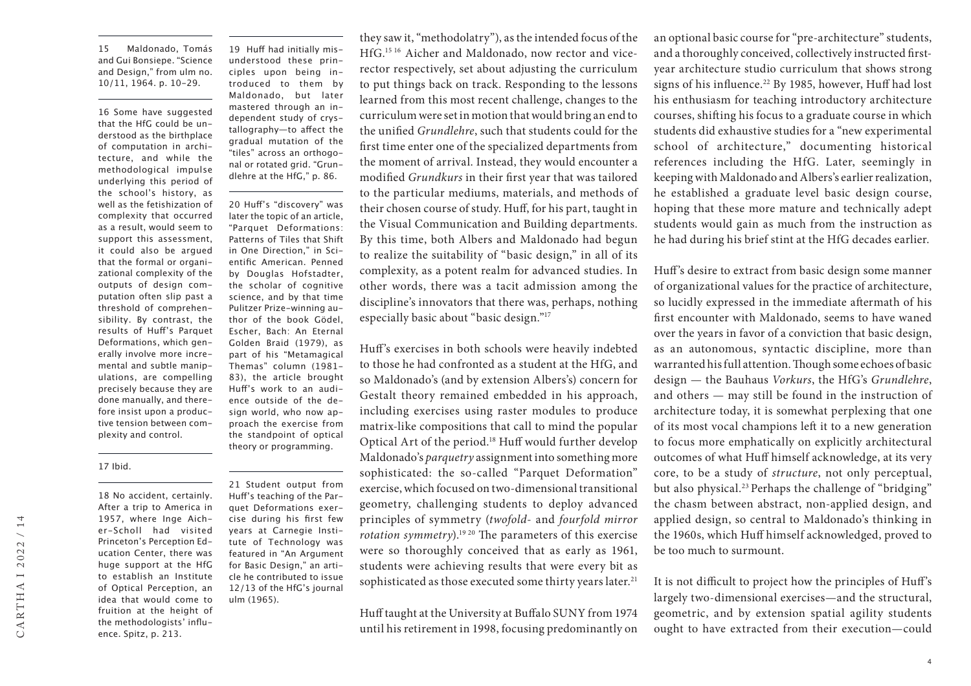15 Maldonado, Tomás and Gui Bonsiepe. "Science and Design," from ulm no. 10/11, 1964. p. 10-29.

16 Some have suggested that the HfG could be understood as the birthplace of computation in architecture, and while the methodological impulse underlying this period of the school's history, as well as the fetishization of complexity that occurred as a result, would seem to support this assessment, it could also be argued that the formal or organizational complexity of the outputs of design computation often slip past a threshold of comprehensibility. By contrast, the results of Huff's Parquet Deformations, which generally involve more incremental and subtle manipulations, are compelling precisely because they are done manually, and therefore insist upon a productive tension between complexity and control.

19 Huff had initially misunderstood these principles upon being introduced to them by Maldonado, but later mastered through an independent study of crystallography—to affect the gradual mutation of the "tiles" across an orthogonal or rotated grid. "Grundlehre at the HfG," p. 86.

20 Huff's "discovery" was later the topic of an article, "Parquet Deformations: Patterns of Tiles that Shift in One Direction," in Scientific American. Penned by Douglas Hofstadter, the scholar of cognitive science, and by that time Pulitzer Prize-winning author of the book Gödel, Escher, Bach: An Eternal Golden Braid (1979), as part of his "Metamagical Themas" column (1981- 83), the article brought Huff's work to an audience outside of the design world, who now approach the exercise from the standpoint of optical theory or programming.

## 17 Ibid.

18 No accident, certainly. After a trip to America in 1957, where Inge Aicher-Scholl had visited Princeton's Perception Education Center, there was huge support at the HfG to establish an Institute of Optical Perception, an idea that would come to fruition at the height of the methodologists' influence. Spitz, p. 213.

21 Student output from Huff's teaching of the Parquet Deformations exercise during his first few years at Carnegie Institute of Technology was featured in "An Argument for Basic Design," an article he contributed to issue 12/13 of the HfG's journal ulm (1965).

they saw it, "methodolatry"), as the intended focus of the HfG.15 16 Aicher and Maldonado, now rector and vicerector respectively, set about adjusting the curriculum to put things back on track. Responding to the lessons learned from this most recent challenge, changes to the curriculum were set in motion that would bring an end to the unified *Grundlehre*, such that students could for the first time enter one of the specialized departments from the moment of arrival. Instead, they would encounter a modified *Grundkurs* in their first year that was tailored to the particular mediums, materials, and methods of their chosen course of study. Huff, for his part, taught in the Visual Communication and Building departments. By this time, both Albers and Maldonado had begun to realize the suitability of "basic design," in all of its complexity, as a potent realm for advanced studies. In other words, there was a tacit admission among the discipline's innovators that there was, perhaps, nothing especially basic about "basic design."17

Huff's exercises in both schools were heavily indebted to those he had confronted as a student at the HfG, and so Maldonado's (and by extension Albers's) concern for Gestalt theory remained embedded in his approach, including exercises using raster modules to produce matrix-like compositions that call to mind the popular Optical Art of the period.18 Huff would further develop Maldonado's *parquetry* assignment into something more sophisticated: the so-called "Parquet Deformation" exercise, which focused on two-dimensional transitional geometry, challenging students to deploy advanced principles of symmetry (*twofold*- and *fourfold mirror rotation symmetry*).19 20 The parameters of this exercise were so thoroughly conceived that as early as 1961, students were achieving results that were every bit as sophisticated as those executed some thirty years later.<sup>21</sup>

Huff taught at the University at Buffalo SUNY from 1974 until his retirement in 1998, focusing predominantly on

an optional basic course for "pre-architecture" students, and a thoroughly conceived, collectively instructed firstyear architecture studio curriculum that shows strong signs of his influence.<sup>22</sup> By 1985, however, Huff had lost his enthusiasm for teaching introductory architecture courses, shifting his focus to a graduate course in which students did exhaustive studies for a "new experimental school of architecture," documenting historical references including the HfG. Later, seemingly in keeping with Maldonado and Albers's earlier realization, he established a graduate level basic design course, hoping that these more mature and technically adept students would gain as much from the instruction as he had during his brief stint at the HfG decades earlier.

Huff's desire to extract from basic design some manner of organizational values for the practice of architecture, so lucidly expressed in the immediate aftermath of his first encounter with Maldonado, seems to have waned over the years in favor of a conviction that basic design, as an autonomous, syntactic discipline, more than warranted his full attention. Though some echoes of basic design — the Bauhaus *Vorkurs*, the HfG's *Grundlehre*, and others — may still be found in the instruction of architecture today, it is somewhat perplexing that one of its most vocal champions left it to a new generation to focus more emphatically on explicitly architectural outcomes of what Huff himself acknowledge, at its very core, to be a study of *structure*, not only perceptual, but also physical.<sup>23</sup> Perhaps the challenge of "bridging" the chasm between abstract, non-applied design, and applied design, so central to Maldonado's thinking in the 1960s, which Huff himself acknowledged, proved to be too much to surmount.

It is not difficult to project how the principles of Huff's largely two-dimensional exercises—and the structural, geometric, and by extension spatial agility students ought to have extracted from their execution—could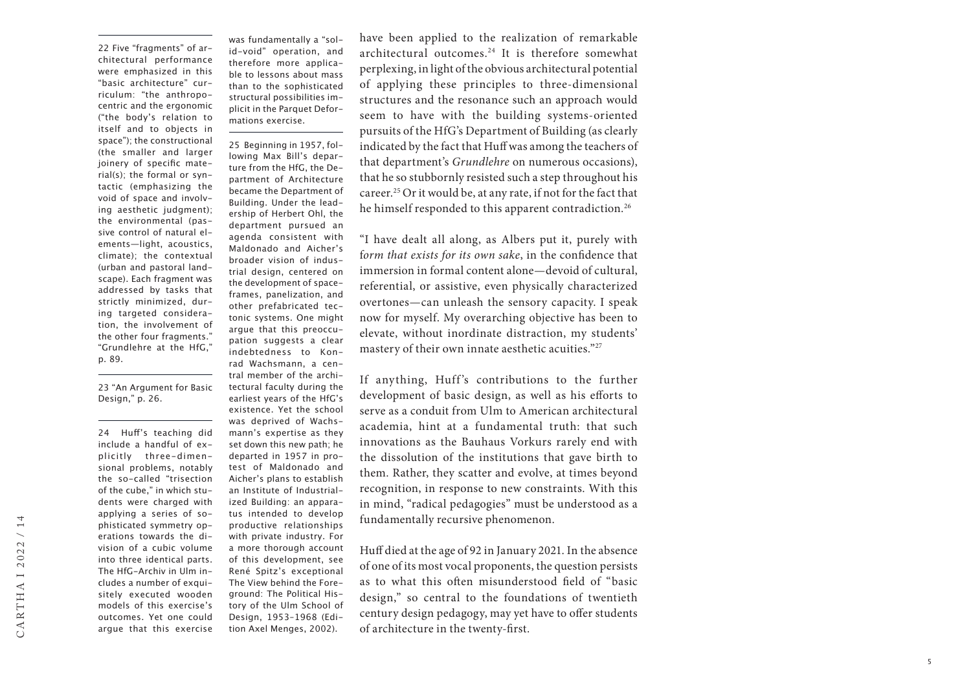22 Five "fragments" of ar chitectural performance were emphasized in this "basic architecture" cur riculum: "the anthropo centric and the ergonomic ("the body's relation to itself and to objects in space"); the constructional (the smaller and larger joinery of specific mate rial(s); the formal or syn tactic (emphasizing the void of space and involv ing aesthetic judgment); the environmental (pas sive control of natural el ements—light, acoustics, climate); the contextual (urban and pastoral land scape). Each fragment was addressed by tasks that strictly minimized, dur ing targeted considera tion, the involvement of the other four fragments." "Grundlehre at the HfG," p. 89.

23 "An Argument for Basic Design," p. 26.

24 Huff's teaching did include a handful of ex plicitly three-dimen sional problems, notably the so-called "trisection of the cube," in which stu dents were charged with applying a series of so phisticated symmetry op erations towards the di vision of a cubic volume into three identical parts. The HfG-Archiv in Ulm in cludes a number of exqui sitely executed wooden models of this exercise's outcomes. Yet one could argue that this exercise

was fundamentally a "sol id-void" operation, and therefore more applica ble to lessons about mass than to the sophisticated structural possibilities im plicit in the Parquet Defor mations exercise.

25 Beginning in 1957, fol lowing Max Bill's depar ture from the HfG, the De partment of Architecture became the Department of Building. Under the lead ership of Herbert Ohl, the department pursued an agenda consistent with Maldonado and Aicher's broader vision of indus trial design, centered on the development of spaceframes, panelization, and other prefabricated tec tonic systems. One might argue that this preoccu pation suggests a clear indebtedness to Kon rad Wachsmann, a cen tral member of the archi tectural faculty during the earliest years of the HfG's existence. Yet the school was deprived of Wachs mann's expertise as they set down this new path; he departed in 1957 in pro test of Maldonado and Aicher's plans to establish an Institute of Industrial ized Building: an appara tus intended to develop productive relationships with private industry. For a more thorough account of this development, see René Spitz's exceptional The View behind the Fore ground: The Political His tory of the Ulm School of Design, 1953–1968 (Edi tion Axel Menges, 2002).

have been applied to the realization of remarkable architectural outcomes.24 It is therefore somewhat perplexing, in light of the obvious architectural potential of applying these principles to three-dimensional structures and the resonance such an approach would seem to have with the building systems-oriented pursuits of the HfG's Department of Building (as clearly indicated by the fact that Huff was among the teachers of that department's *Grundlehre* on numerous occasions), that he so stubbornly resisted such a step throughout his career.25 Or it would be, at any rate, if not for the fact that he himself responded to this apparent contradiction.<sup>26</sup>

"I have dealt all along, as Albers put it, purely with f*orm that exists for its own sake*, in the confidence that immersion in formal content alone—devoid of cultural, referential, or assistive, even physically characterized overtones—can unleash the sensory capacity. I speak now for myself. My overarching objective has been to elevate, without inordinate distraction, my students' mastery of their own innate aesthetic acuities."<sup>27</sup>

If anything, Huff's contributions to the further development of basic design, as well as his efforts to serve as a conduit from Ulm to American architectural academia, hint at a fundamental truth: that such innovations as the Bauhaus Vorkurs rarely end with the dissolution of the institutions that gave birth to them. Rather, they scatter and evolve, at times beyond recognition, in response to new constraints. With this in mind, "radical pedagogies" must be understood as a fundamentally recursive phenomenon.

Huff died at the age of 92 in January 2021. In the absence of one of its most vocal proponents, the question persists as to what this often misunderstood field of "basic design," so central to the foundations of twentieth century design pedagogy, may yet have to offer students of architecture in the twenty-first.